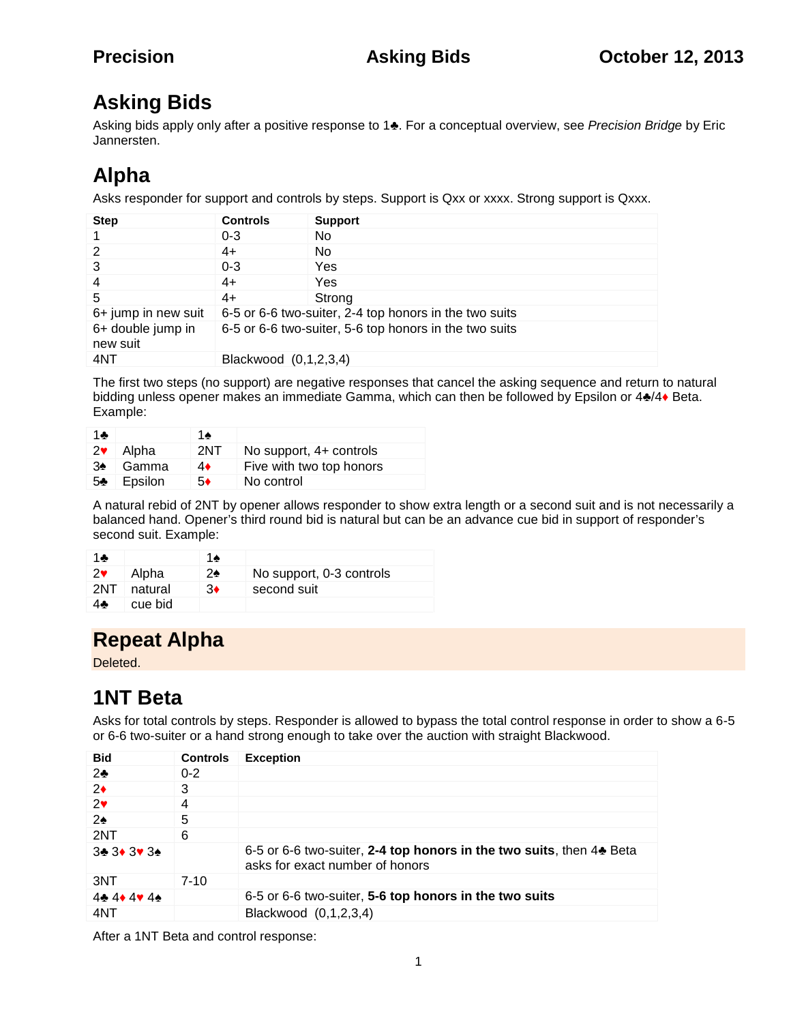## **Asking Bids**

Asking bids apply only after a positive response to 1 . For a conceptual overview, see *Precision Bridge* by Eric Jannersten.

# **Alpha**

Asks responder for support and controls by steps. Support is Qxx or xxxx. Strong support is Qxxx.

| <b>Step</b>                   | <b>Controls</b>                                        | <b>Support</b>                                         |
|-------------------------------|--------------------------------------------------------|--------------------------------------------------------|
| $\mathbf 1$                   | $0 - 3$                                                | No.                                                    |
| 2                             | 4+                                                     | No.                                                    |
| 3                             | $0 - 3$                                                | Yes                                                    |
| $\overline{4}$                | 4+                                                     | Yes                                                    |
| -5                            | 4+                                                     | Strong                                                 |
| 6+ jump in new suit           |                                                        | 6-5 or 6-6 two-suiter, 2-4 top honors in the two suits |
| 6+ double jump in<br>new suit | 6-5 or 6-6 two-suiter, 5-6 top honors in the two suits |                                                        |
| 4NT                           | Blackwood (0,1,2,3,4)                                  |                                                        |

The first two steps (no support) are negative responses that cancel the asking sequence and return to natural bidding unless opener makes an immediate Gamma, which can then be followed by Epsilon or 4 /4 Beta. Example:

| 2  | Alpha   | 2NT | No support, 4+ controls  |
|----|---------|-----|--------------------------|
| 3  | Gamma   | 4   | Five with two top honors |
| -5 | Epsilon | 5   | No control               |

A natural rebid of 2NT by opener allows responder to show extra length or a second suit and is not necessarily a balanced hand. Opener's third round bid is natural but can be an advance cue bid in support of responder's second suit. Example:

|     | Alpha   | No support, 0-3 controls |
|-----|---------|--------------------------|
| 2NT | natural | second suit              |
|     | cue bid |                          |

# **Repeat Alpha**

Deleted.

# **1NT Beta**

Asks for total controls by steps. Responder is allowed to bypass the total control response in order to show a 6-5 or 6-6 two-suiter or a hand strong enough to take over the auction with straight Blackwood.

| Bid      | <b>Controls</b> | <b>Exception</b>                                                                                       |
|----------|-----------------|--------------------------------------------------------------------------------------------------------|
| 2        | $0 - 2$         |                                                                                                        |
| 2        | 3               |                                                                                                        |
| 2        | 4               |                                                                                                        |
| 2        | 5               |                                                                                                        |
| 2NT      | 6               |                                                                                                        |
| 3 3 3 3  |                 | 6-5 or 6-6 two-suiter, 2-4 top honors in the two suits, then 4 Beta<br>asks for exact number of honors |
| 3NT      | $7 - 10$        |                                                                                                        |
| 44<br>44 |                 | 6-5 or 6-6 two-suiter, 5-6 top honors in the two suits                                                 |
| 4NT      |                 | Blackwood (0,1,2,3,4)                                                                                  |

After a 1NT Beta and control response: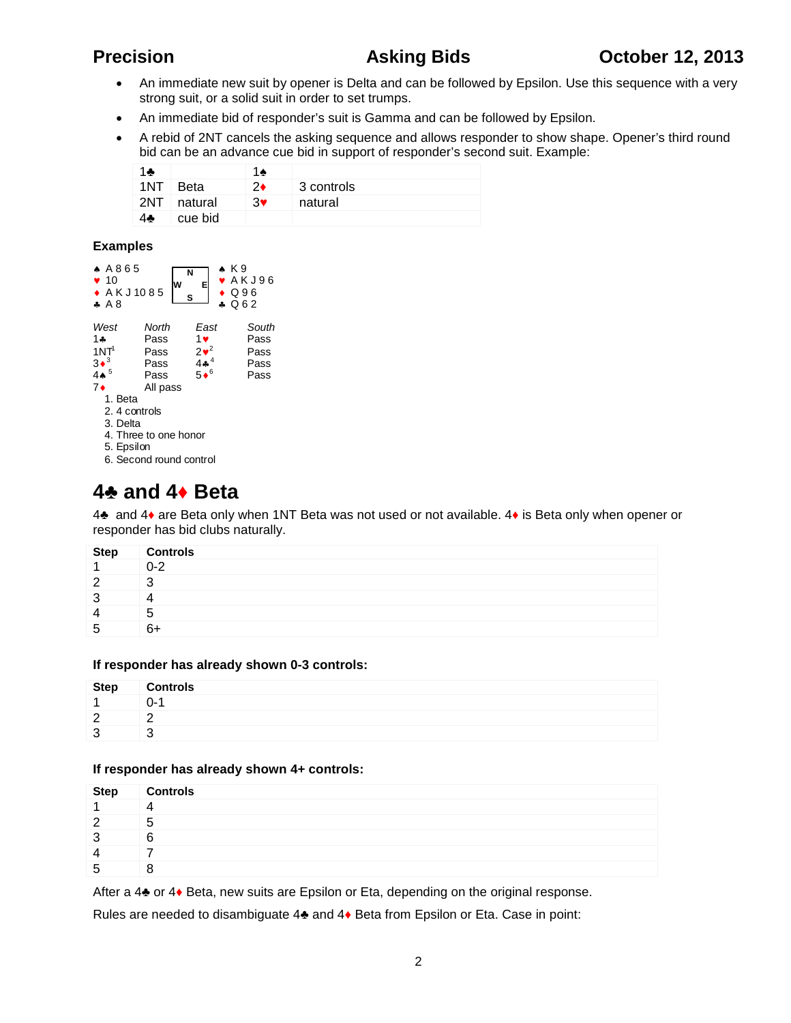- An immediate new suit by opener is Delta and can be followed by Epsilon. Use this sequence with a very strong suit, or a solid suit in order to set trumps.
- An immediate bid of responder's suit is Gamma and can be followed by Epsilon.
- A rebid of 2NT cancels the asking sequence and allows responder to show shape. Opener's third round bid can be an advance cue bid in support of responder's second suit. Example:

| 1NT. | Beta    |   | 3 controls |
|------|---------|---|------------|
| 2NT  | natural | 3 | natural    |
|      | cue bid |   |            |

### **Examples**

| AA865<br>$\bullet$ 10<br>◆ AKJ1085<br>AA8 | W                     | N<br>E<br>s  | $\star$ K9<br>$\bullet$ AKJ96<br>$\bullet$ Q96<br>∡ ೧೯೭ |
|-------------------------------------------|-----------------------|--------------|---------------------------------------------------------|
| West                                      | North                 | East         | South                                                   |
| 1 ሐ                                       | Pass                  | 1♥           | Pass                                                    |
| 1NT <sup>1</sup>                          | Pass                  | $2\bullet^2$ | Pass                                                    |
| $3\bullet^3$                              | Pass                  | $4*^{4}$     | Pass                                                    |
| 44 $^5$                                   | Pass                  | $5\bullet^6$ | Pass                                                    |
| 7♦                                        | All pass              |              |                                                         |
| 1. Beta                                   |                       |              |                                                         |
| 2.4 controls                              |                       |              |                                                         |
| 3. Delta                                  |                       |              |                                                         |
|                                           | 4. Three to one honor |              |                                                         |
| 5. Epsilon                                |                       |              |                                                         |
| 6. Second round control                   |                       |              |                                                         |

## **4 and 4 Beta**

4 and 4 are Beta only when 1NT Beta was not used or not available. 4 is Beta only when opener or responder has bid clubs naturally.

| <b>Step</b> | <b>Controls</b> |
|-------------|-----------------|
|             | $0 - 2$         |
| ⌒           | ◠               |
| -2          |                 |
|             | b               |
| b           | Rν              |

### **If responder has already shown 0-3 controls:**

| Step | <b>Controls</b> |
|------|-----------------|
| А    |                 |
|      |                 |
| £    |                 |

### **If responder has already shown 4+ controls:**

| <b>Step</b> | <b>Controls</b> |
|-------------|-----------------|
|             |                 |
| n           | .b              |
| ີ           | 6               |
|             |                 |
| b           |                 |

After a 4 or 4 Beta, new suits are Epsilon or Eta, depending on the original response.

Rules are needed to disambiguate 4 and 4 Beta from Epsilon or Eta. Case in point: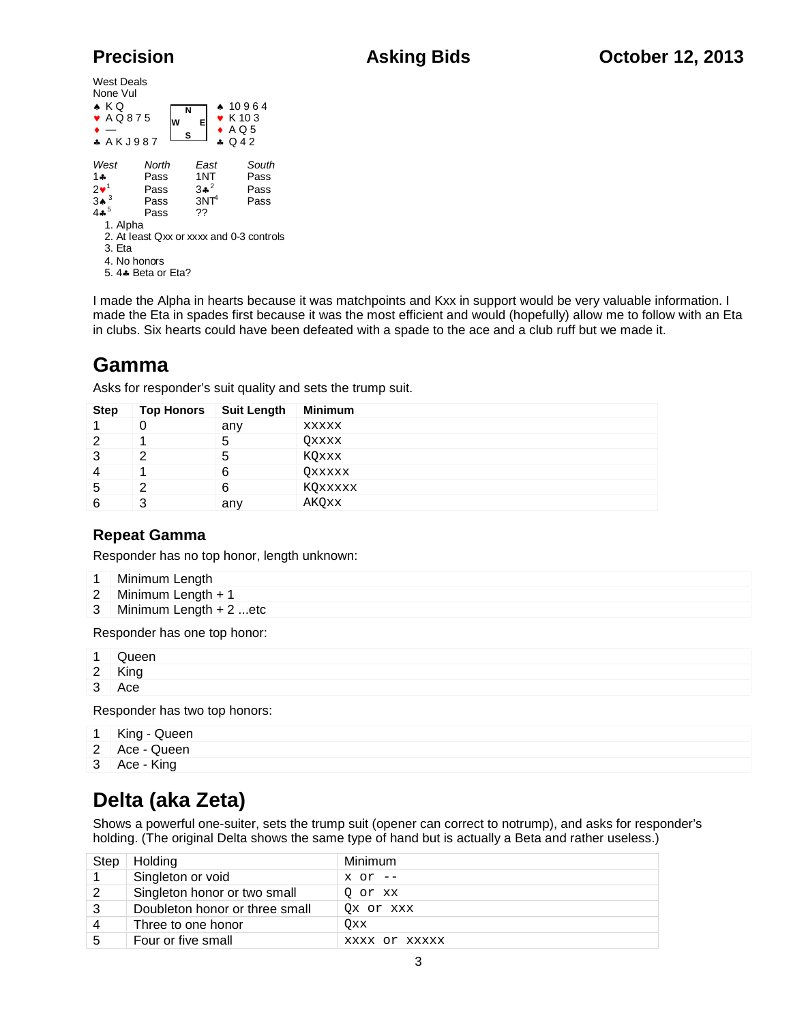| West Deals<br>None Vul<br>$\star$ KQ<br>$\bullet$ AQ875<br>A K J 987 |                                       | N<br>W<br>s | E                                               | $* 10964$<br>$\bullet$ K 10 3<br>$\bullet$ AQ5<br>$\bullet$ Q42 |                                          |
|----------------------------------------------------------------------|---------------------------------------|-------------|-------------------------------------------------|-----------------------------------------------------------------|------------------------------------------|
| West<br>$1 -$<br>$2\bullet^1$<br>3▲<br>4ء $^{\rm 5}$                 | North<br>Pass<br>Pass<br>Pass<br>Pass |             | East<br>1NT<br>$3*^2$<br>3NT <sup>4</sup><br>?? |                                                                 | South<br>Pass<br>Pass<br>Pass            |
| 1. Alpha<br>3. Fta<br>4. No honors<br>5. 4♣ Beta or Eta?             |                                       |             |                                                 |                                                                 | 2. At least Qxx or xxxx and 0-3 controls |

I made the Alpha in hearts because it was matchpoints and Kxx in support would be very valuable information. I made the Eta in spades first because it was the most efficient and would (hopefully) allow me to follow with an Eta in clubs. Six hearts could have been defeated with a spade to the ace and a club ruff but we made it.

## **Gamma**

Asks for responder's suit quality and sets the trump suit.

| <b>Step</b> | <b>Top Honors</b> | <b>Suit Length</b> | <b>Minimum</b> |
|-------------|-------------------|--------------------|----------------|
|             |                   | any                | <b>XXXXX</b>   |
|             |                   | b                  | Qxxxx          |
| 3           | 2                 | 5                  | KQxxx          |
| 4           |                   | 6                  | OXXXXX         |
| 5           |                   | 6                  | KQxxxxx        |
| 6           |                   | any                | AKQxx          |

## **Repeat Gamma**

Responder has no top honor, length unknown:

- 1 Minimum Length
- 2 Minimum Length + 1
- 3 Minimum Length + 2 ...etc

Responder has one top honor:

| $\mathbf{1}$ | Queen  |
|--------------|--------|
|              | 2 King |
|              | 3 Ace  |
|              |        |

Responder has two top honors:

|  | King - Queen |
|--|--------------|
|  |              |

- 2 Ace Queen
- 3 Ace King

## **Delta (aka Zeta)**

Shows a powerful one-suiter, sets the trump suit (opener can correct to notrump), and asks for responder's holding. (The original Delta shows the same type of hand but is actually a Beta and rather useless.)

| Step | Holding                        | Minimum       |
|------|--------------------------------|---------------|
|      | Singleton or void              | $x$ or $--$   |
| 2    | Singleton honor or two small   | 0 or xx       |
| 3    | Doubleton honor or three small | Ox or xxx     |
| 4    | Three to one honor             | Oxx           |
| 5    | Four or five small             | XXXX OY XXXXX |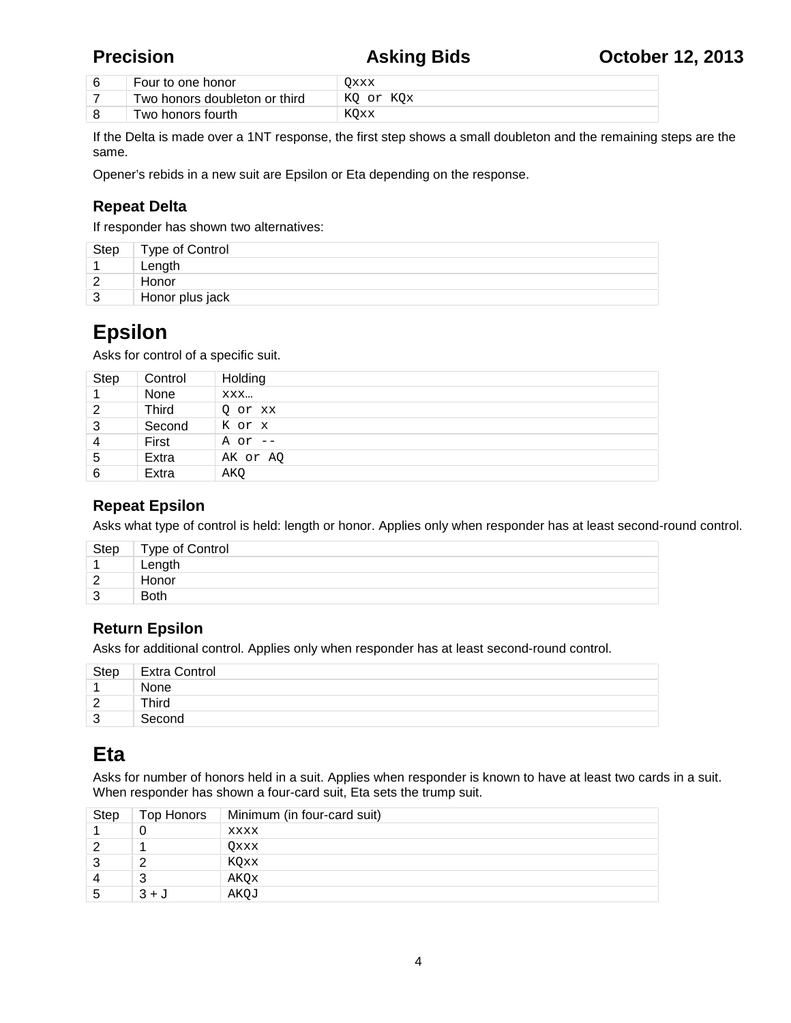| Four to one honor             | Эххх      |
|-------------------------------|-----------|
| Two honors doubleton or third | KO or KOx |
| Two honors fourth_            | KOxx      |

If the Delta is made over a 1NT response, the first step shows a small doubleton and the remaining steps are the same.

Opener's rebids in a new suit are Epsilon or Eta depending on the response.

## **Repeat Delta**

If responder has shown two alternatives:

| Step   | Type of Control |
|--------|-----------------|
|        | Length          |
| $\sim$ | Honor           |
| 3      | Honor plus jack |

## **Epsilon**

Asks for control of a specific suit.

| <b>Step</b>    | Control | Holding   |
|----------------|---------|-----------|
|                | None    | XXX       |
| 2              | Third   | Q or xx   |
| 3              | Second  | K or x    |
| $\overline{4}$ | First   | A or $--$ |
| 5              | Extra   | AK or AQ  |
| 6              | Extra   | AKQ       |

## **Repeat Epsilon**

Asks what type of control is held: length or honor. Applies only when responder has at least second-round control.

|               | Step   Type of Control |
|---------------|------------------------|
|               | Length                 |
| $\mathcal{P}$ | Honor                  |
| ີ             | <b>Both</b>            |
|               |                        |

## **Return Epsilon**

Asks for additional control. Applies only when responder has at least second-round control.

| <b>Step</b>        | <b>Extra Control</b> |
|--------------------|----------------------|
|                    | None                 |
| $\sim$<br><u>_</u> | Third                |
| ີ<br>◡             | Second               |

## **Eta**

Asks for number of honors held in a suit. Applies when responder is known to have at least two cards in a suit. When responder has shown a four-card suit, Eta sets the trump suit.

| Step | Top Honors | Minimum (in four-card suit) |
|------|------------|-----------------------------|
|      |            | XXXX                        |
|      |            | Oxxx                        |
|      |            | KOxx                        |
|      |            | AKOx                        |
|      | $3 + J$    | AKQJ                        |